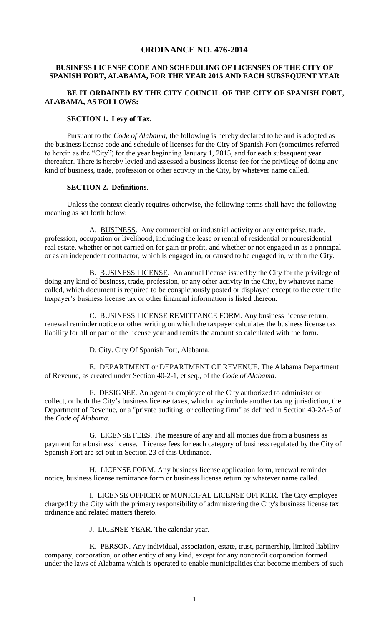# **ORDINANCE NO. 476-2014**

## **BUSINESS LICENSE CODE AND SCHEDULING OF LICENSES OF THE CITY OF SPANISH FORT, ALABAMA, FOR THE YEAR 2015 AND EACH SUBSEQUENT YEAR**

## **BE IT ORDAINED BY THE CITY COUNCIL OF THE CITY OF SPANISH FORT, ALABAMA, AS FOLLOWS:**

#### **SECTION 1. Levy of Tax.**

Pursuant to the *Code of Alabama,* the following is hereby declared to be and is adopted as the business license code and schedule of licenses for the City of Spanish Fort (sometimes referred to herein as the "City") for the year beginning January 1, 2015, and for each subsequent year thereafter. There is hereby levied and assessed a business license fee for the privilege of doing any kind of business, trade, profession or other activity in the City, by whatever name called.

#### **SECTION 2. Definitions**.

Unless the context clearly requires otherwise, the following terms shall have the following meaning as set forth below:

A. BUSINESS. Any commercial or industrial activity or any enterprise, trade, profession, occupation or livelihood, including the lease or rental of residential or nonresidential real estate, whether or not carried on for gain or profit, and whether or not engaged in as a principal or as an independent contractor, which is engaged in, or caused to be engaged in, within the City.

B. BUSINESS LICENSE. An annual license issued by the City for the privilege of doing any kind of business, trade, profession, or any other activity in the City, by whatever name called, which document is required to be conspicuously posted or displayed except to the extent the taxpayer's business license tax or other financial information is listed thereon.

C. BUSINESS LICENSE REMITTANCE FORM. Any business license return, renewal reminder notice or other writing on which the taxpayer calculates the business license tax liability for all or part of the license year and remits the amount so calculated with the form.

D. City. City Of Spanish Fort, Alabama.

E. DEPARTMENT or DEPARTMENT OF REVENUE. The Alabama Department of Revenue, as created under Section 40-2-1, et seq., of the *Code of Alabama*.

F. DESIGNEE. An agent or employee of the City authorized to administer or collect, or both the City's business license taxes, which may include another taxing jurisdiction, the Department of Revenue, or a "private auditing or collecting firm" as defined in Section 40-2A-3 of the *Code of Alabama*.

G. LICENSE FEES. The measure of any and all monies due from a business as payment for a business license. License fees for each category of business regulated by the City of Spanish Fort are set out in Section 23 of this Ordinance.

H. LICENSE FORM. Any business license application form, renewal reminder notice, business license remittance form or business license return by whatever name called.

I. LICENSE OFFICER or MUNICIPAL LICENSE OFFICER. The City employee charged by the City with the primary responsibility of administering the City's business license tax ordinance and related matters thereto.

J. LICENSE YEAR. The calendar year.

K. PERSON. Any individual, association, estate, trust, partnership, limited liability company, corporation, or other entity of any kind, except for any nonprofit corporation formed under the laws of Alabama which is operated to enable municipalities that become members of such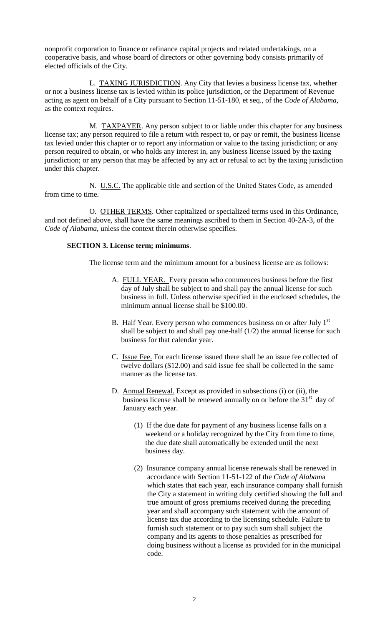nonprofit corporation to finance or refinance capital projects and related undertakings, on a cooperative basis, and whose board of directors or other governing body consists primarily of elected officials of the City.

L. TAXING JURISDICTION. Any City that levies a business license tax, whether or not a business license tax is levied within its police jurisdiction, or the Department of Revenue acting as agent on behalf of a City pursuant to Section 11-51-180, et seq., of the *Code of Alabama*, as the context requires.

M. TAXPAYER. Any person subject to or liable under this chapter for any business license tax; any person required to file a return with respect to, or pay or remit, the business license tax levied under this chapter or to report any information or value to the taxing jurisdiction; or any person required to obtain, or who holds any interest in, any business license issued by the taxing jurisdiction; or any person that may be affected by any act or refusal to act by the taxing jurisdiction under this chapter.

N. U.S.C. The applicable title and section of the United States Code, as amended from time to time.

O. OTHER TERMS. Other capitalized or specialized terms used in this Ordinance, and not defined above, shall have the same meanings ascribed to them in Section 40-2A-3, of the *Code of Alabama*, unless the context therein otherwise specifies.

#### **SECTION 3. License term; minimums**.

The license term and the minimum amount for a business license are as follows:

- A. FULL YEAR. Every person who commences business before the first day of July shall be subject to and shall pay the annual license for such business in full. Unless otherwise specified in the enclosed schedules, the minimum annual license shall be \$100.00.
- B. Half Year. Every person who commences business on or after July  $1<sup>st</sup>$ shall be subject to and shall pay one-half  $(1/2)$  the annual license for such business for that calendar year.
- C. Issue Fee. For each license issued there shall be an issue fee collected of twelve dollars (\$12.00) and said issue fee shall be collected in the same manner as the license tax.
- D. Annual Renewal. Except as provided in subsections (i) or (ii), the business license shall be renewed annually on or before the  $31<sup>st</sup>$  day of January each year.
	- (1) If the due date for payment of any business license falls on a weekend or a holiday recognized by the City from time to time, the due date shall automatically be extended until the next business day.
	- (2) Insurance company annual license renewals shall be renewed in accordance with Section 11-51-122 of the *Code of Alabam*a which states that each year, each insurance company shall furnish the City a statement in writing duly certified showing the full and true amount of gross premiums received during the preceding year and shall accompany such statement with the amount of license tax due according to the licensing schedule. Failure to furnish such statement or to pay such sum shall subject the company and its agents to those penalties as prescribed for doing business without a license as provided for in the municipal code.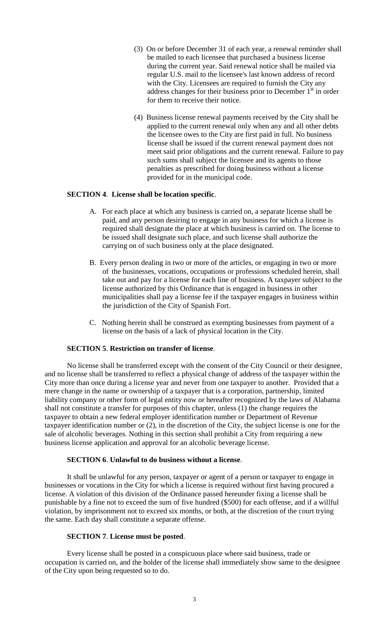- (3) On or before December 31 of each year, a renewal reminder shall be mailed to each licensee that purchased a business license during the current year. Said renewal notice shall be mailed via regular U.S. mail to the licensee's last known address of record with the City. Licensees are required to furnish the City any address changes for their business prior to December  $1<sup>st</sup>$  in order for them to receive their notice.
- (4) Business license renewal payments received by the City shall be applied to the current renewal only when any and all other debts the licensee owes to the City are first paid in full. No business license shall be issued if the current renewal payment does not meet said prior obligations and the current renewal. Failure to pay such sums shall subject the licensee and its agents to those penalties as prescribed for doing business without a license provided for in the municipal code.

#### **SECTION 4**. **License shall be location specific**.

- A. For each place at which any business is carried on, a separate license shall be paid, and any person desiring to engage in any business for which a license is required shall designate the place at which business is carried on. The license to be issued shall designate such place, and such license shall authorize the carrying on of such business only at the place designated.
- B. Every person dealing in two or more of the articles, or engaging in two or more of the businesses, vocations, occupations or professions scheduled herein, shall take out and pay for a license for each line of business. A taxpayer subject to the license authorized by this Ordinance that is engaged in business in other municipalities shall pay a license fee if the taxpayer engages in business within the jurisdiction of the City of Spanish Fort.
- C. Nothing herein shall be construed as exempting businesses from payment of a license on the basis of a lack of physical location in the City.

#### **SECTION 5**. **Restriction on transfer of license**.

No license shall be transferred except with the consent of the City Council or their designee, and no license shall be transferred to reflect a physical change of address of the taxpayer within the City more than once during a license year and never from one taxpayer to another. Provided that a mere change in the name or ownership of a taxpayer that is a corporation, partnership, limited liability company or other form of legal entity now or hereafter recognized by the laws of Alabama shall not constitute a transfer for purposes of this chapter, unless (1) the change requires the taxpayer to obtain a new federal employer identification number or Department of Revenue taxpayer identification number or (2), in the discretion of the City, the subject license is one for the sale of alcoholic beverages. Nothing in this section shall prohibit a City from requiring a new business license application and approval for an alcoholic beverage license.

#### **SECTION 6**. **Unlawful to do business without a license**.

It shall be unlawful for any person, taxpayer or agent of a person or taxpayer to engage in businesses or vocations in the City for which a license is required without first having procured a license. A violation of this division of the Ordinance passed hereunder fixing a license shall be punishable by a fine not to exceed the sum of five hundred (\$500) for each offense, and if a willful violation, by imprisonment not to exceed six months, or both, at the discretion of the court trying the same. Each day shall constitute a separate offense.

#### **SECTION 7**. **License must be posted**.

Every license shall be posted in a conspicuous place where said business, trade or occupation is carried on, and the holder of the license shall immediately show same to the designee of the City upon being requested so to do.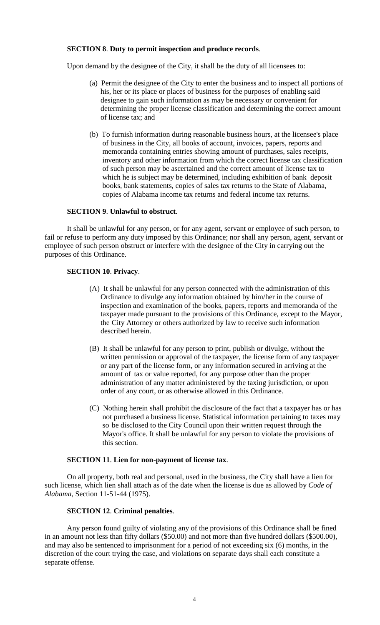#### **SECTION 8**. **Duty to permit inspection and produce records**.

Upon demand by the designee of the City, it shall be the duty of all licensees to:

- (a) Permit the designee of the City to enter the business and to inspect all portions of his, her or its place or places of business for the purposes of enabling said designee to gain such information as may be necessary or convenient for determining the proper license classification and determining the correct amount of license tax; and
- (b) To furnish information during reasonable business hours, at the licensee's place of business in the City, all books of account, invoices, papers, reports and memoranda containing entries showing amount of purchases, sales receipts, inventory and other information from which the correct license tax classification of such person may be ascertained and the correct amount of license tax to which he is subject may be determined, including exhibition of bank deposit books, bank statements, copies of sales tax returns to the State of Alabama, copies of Alabama income tax returns and federal income tax returns.

#### **SECTION 9**. **Unlawful to obstruct**.

It shall be unlawful for any person, or for any agent, servant or employee of such person, to fail or refuse to perform any duty imposed by this Ordinance; nor shall any person, agent, servant or employee of such person obstruct or interfere with the designee of the City in carrying out the purposes of this Ordinance.

#### **SECTION 10**. **Privacy**.

- (A) It shall be unlawful for any person connected with the administration of this Ordinance to divulge any information obtained by him/her in the course of inspection and examination of the books, papers, reports and memoranda of the taxpayer made pursuant to the provisions of this Ordinance, except to the Mayor, the City Attorney or others authorized by law to receive such information described herein.
- (B) It shall be unlawful for any person to print, publish or divulge, without the written permission or approval of the taxpayer, the license form of any taxpayer or any part of the license form, or any information secured in arriving at the amount of tax or value reported, for any purpose other than the proper administration of any matter administered by the taxing jurisdiction, or upon order of any court, or as otherwise allowed in this Ordinance.
- (C) Nothing herein shall prohibit the disclosure of the fact that a taxpayer has or has not purchased a business license. Statistical information pertaining to taxes may so be disclosed to the City Council upon their written request through the Mayor's office. It shall be unlawful for any person to violate the provisions of this section.

## **SECTION 11**. **Lien for non-payment of license tax**.

On all property, both real and personal, used in the business, the City shall have a lien for such license, which lien shall attach as of the date when the license is due as allowed by *Code of Alabama*, Section 11-51-44 (1975).

#### **SECTION 12**. **Criminal penalties**.

Any person found guilty of violating any of the provisions of this Ordinance shall be fined in an amount not less than fifty dollars (\$50.00) and not more than five hundred dollars (\$500.00), and may also be sentenced to imprisonment for a period of not exceeding six (6) months, in the discretion of the court trying the case, and violations on separate days shall each constitute a separate offense.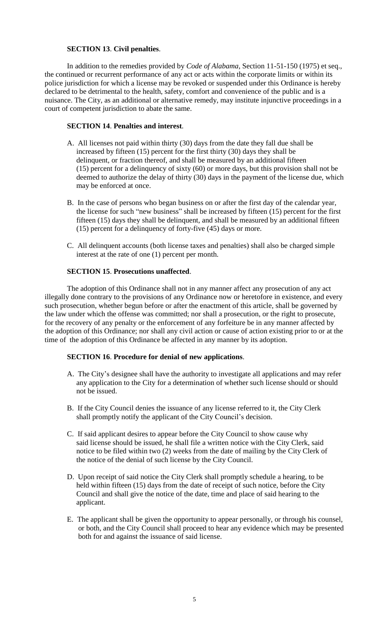# **SECTION 13**. **Civil penalties**.

In addition to the remedies provided by *Code of Alabama*, Section 11-51-150 (1975) et seq., the continued or recurrent performance of any act or acts within the corporate limits or within its police jurisdiction for which a license may be revoked or suspended under this Ordinance is hereby declared to be detrimental to the health, safety, comfort and convenience of the public and is a nuisance. The City, as an additional or alternative remedy, may institute injunctive proceedings in a court of competent jurisdiction to abate the same.

# **SECTION 14**. **Penalties and interest**.

- A. All licenses not paid within thirty (30) days from the date they fall due shall be increased by fifteen (15) percent for the first thirty (30) days they shall be delinquent, or fraction thereof, and shall be measured by an additional fifteen (15) percent for a delinquency of sixty (60) or more days, but this provision shall not be deemed to authorize the delay of thirty (30) days in the payment of the license due, which may be enforced at once.
- B. In the case of persons who began business on or after the first day of the calendar year, the license for such "new business" shall be increased by fifteen (15) percent for the first fifteen (15) days they shall be delinquent, and shall be measured by an additional fifteen (15) percent for a delinquency of forty-five (45) days or more.
- C. All delinquent accounts (both license taxes and penalties) shall also be charged simple interest at the rate of one (1) percent per month.

# **SECTION 15**. **Prosecutions unaffected**.

The adoption of this Ordinance shall not in any manner affect any prosecution of any act illegally done contrary to the provisions of any Ordinance now or heretofore in existence, and every such prosecution, whether begun before or after the enactment of this article, shall be governed by the law under which the offense was committed; nor shall a prosecution, or the right to prosecute, for the recovery of any penalty or the enforcement of any forfeiture be in any manner affected by the adoption of this Ordinance; nor shall any civil action or cause of action existing prior to or at the time of the adoption of this Ordinance be affected in any manner by its adoption.

## **SECTION 16**. **Procedure for denial of new applications**.

- A. The City's designee shall have the authority to investigate all applications and may refer any application to the City for a determination of whether such license should or should not be issued.
- B. If the City Council denies the issuance of any license referred to it, the City Clerk shall promptly notify the applicant of the City Council's decision.
- C. If said applicant desires to appear before the City Council to show cause why said license should be issued, he shall file a written notice with the City Clerk, said notice to be filed within two (2) weeks from the date of mailing by the City Clerk of the notice of the denial of such license by the City Council.
- D. Upon receipt of said notice the City Clerk shall promptly schedule a hearing, to be held within fifteen (15) days from the date of receipt of such notice, before the City Council and shall give the notice of the date, time and place of said hearing to the applicant.
- E. The applicant shall be given the opportunity to appear personally, or through his counsel, or both, and the City Council shall proceed to hear any evidence which may be presented both for and against the issuance of said license.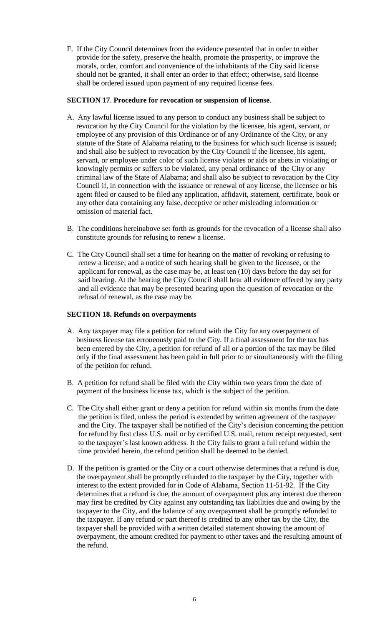F. If the City Council determines from the evidence presented that in order to either provide for the safety, preserve the health, promote the prosperity, or improve the morals, order, comfort and convenience of the inhabitants of the City said license should not be granted, it shall enter an order to that effect; otherwise, said license shall be ordered issued upon payment of any required license fees.

#### **SECTION 17**. **Procedure for revocation or suspension of license**.

- A. Any lawful license issued to any person to conduct any business shall be subject to revocation by the City Council for the violation by the licensee, his agent, servant, or employee of any provision of this Ordinance or of any Ordinance of the City, or any statute of the State of Alabama relating to the business for which such license is issued; and shall also be subject to revocation by the City Council if the licensee, his agent, servant, or employee under color of such license violates or aids or abets in violating or knowingly permits or suffers to be violated, any penal ordinance of the City or any criminal law of the State of Alabama; and shall also be subject to revocation by the City Council if, in connection with the issuance or renewal of any license, the licensee or his agent filed or caused to be filed any application, affidavit, statement, certificate, book or any other data containing any false, deceptive or other misleading information or omission of material fact.
- B. The conditions hereinabove set forth as grounds for the revocation of a license shall also constitute grounds for refusing to renew a license.
- C. The City Council shall set a time for hearing on the matter of revoking or refusing to renew a license; and a notice of such hearing shall be given to the licensee, or the applicant for renewal, as the case may be, at least ten (10) days before the day set for said hearing. At the hearing the City Council shall hear all evidence offered by any party and all evidence that may be presented bearing upon the question of revocation or the refusal of renewal, as the case may be.

## **SECTION 18. Refunds on overpayments**

- A. Any taxpayer may file a petition for refund with the City for any overpayment of business license tax erroneously paid to the City. If a final assessment for the tax has been entered by the City, a petition for refund of all or a portion of the tax may be filed only if the final assessment has been paid in full prior to or simultaneously with the filing of the petition for refund.
- B. A petition for refund shall be filed with the City within two years from the date of payment of the business license tax, which is the subject of the petition.
- C. The City shall either grant or deny a petition for refund within six months from the date the petition is filed, unless the period is extended by written agreement of the taxpayer and the City. The taxpayer shall be notified of the City's decision concerning the petition for refund by first class U.S. mail or by certified U.S. mail, return receipt requested, sent to the taxpayer's last known address. It the City fails to grant a full refund within the time provided herein, the refund petition shall be deemed to be denied.
- D. If the petition is granted or the City or a court otherwise determines that a refund is due, the overpayment shall be promptly refunded to the taxpayer by the City, together with interest to the extent provided for in Code of Alabama, Section 11-51-92. If the City determines that a refund is due, the amount of overpayment plus any interest due thereon may first be credited by City against any outstanding tax liabilities due and owing by the taxpayer to the City, and the balance of any overpayment shall be promptly refunded to the taxpayer. If any refund or part thereof is credited to any other tax by the City, the taxpayer shall be provided with a written detailed statement showing the amount of overpayment, the amount credited for payment to other taxes and the resulting amount of the refund.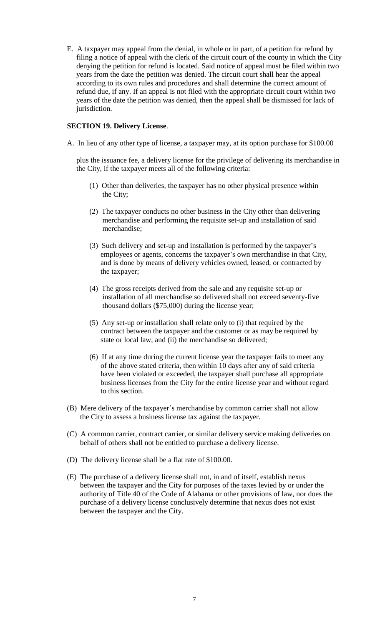E. A taxpayer may appeal from the denial, in whole or in part, of a petition for refund by filing a notice of appeal with the clerk of the circuit court of the county in which the City denying the petition for refund is located. Said notice of appeal must be filed within two years from the date the petition was denied. The circuit court shall hear the appeal according to its own rules and procedures and shall determine the correct amount of refund due, if any. If an appeal is not filed with the appropriate circuit court within two years of the date the petition was denied, then the appeal shall be dismissed for lack of jurisdiction.

## **SECTION 19. Delivery License**.

A. In lieu of any other type of license, a taxpayer may, at its option purchase for \$100.00

 plus the issuance fee, a delivery license for the privilege of delivering its merchandise in the City, if the taxpayer meets all of the following criteria:

- (1) Other than deliveries, the taxpayer has no other physical presence within the City;
- (2) The taxpayer conducts no other business in the City other than delivering merchandise and performing the requisite set-up and installation of said merchandise;
- (3) Such delivery and set-up and installation is performed by the taxpayer's employees or agents, concerns the taxpayer's own merchandise in that City, and is done by means of delivery vehicles owned, leased, or contracted by the taxpayer;
- (4) The gross receipts derived from the sale and any requisite set-up or installation of all merchandise so delivered shall not exceed seventy-five thousand dollars (\$75,000) during the license year;
- (5) Any set-up or installation shall relate only to (i) that required by the contract between the taxpayer and the customer or as may be required by state or local law, and (ii) the merchandise so delivered;
- (6) If at any time during the current license year the taxpayer fails to meet any of the above stated criteria, then within 10 days after any of said criteria have been violated or exceeded, the taxpayer shall purchase all appropriate business licenses from the City for the entire license year and without regard to this section.
- (B) Mere delivery of the taxpayer's merchandise by common carrier shall not allow the City to assess a business license tax against the taxpayer.
- (C) A common carrier, contract carrier, or similar delivery service making deliveries on behalf of others shall not be entitled to purchase a delivery license.
- (D) The delivery license shall be a flat rate of \$100.00.
- (E) The purchase of a delivery license shall not, in and of itself, establish nexus between the taxpayer and the City for purposes of the taxes levied by or under the authority of Title 40 of the Code of Alabama or other provisions of law, nor does the purchase of a delivery license conclusively determine that nexus does not exist between the taxpayer and the City.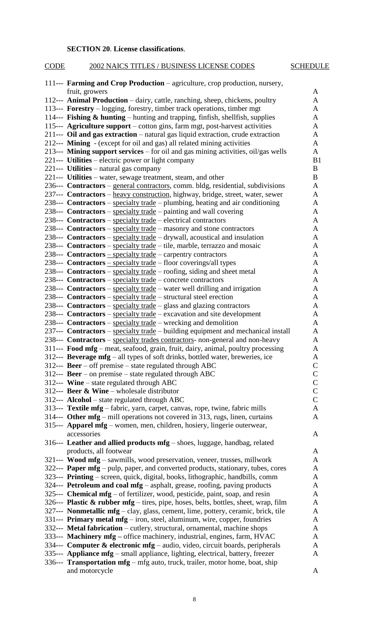## **SECTION 20**. **License classifications**.

# 111--- **Farming and Crop Production** – agriculture, crop production, nursery, fruit, growers A 112--- **Animal Production** – dairy, cattle, ranching, sheep, chickens, poultry A 113--- **Forestry** – logging, forestry, timber track operations, timber mgt A 114--- **Fishing & hunting** – hunting and trapping, finfish, shellfish, supplies A

CODE 2002 NAICS TITLES / BUSINESS LICENSE CODES SCHEDULE

| $\frac{1}{2}$ comment $\frac{1}{2}$ training and trapping, minism, such that, supplies  |                |
|-----------------------------------------------------------------------------------------|----------------|
| 115--- Agriculture support – cotton gins, farm mgt, post-harvest activities             | A              |
| 211--- Oil and gas extraction – natural gas liquid extraction, crude extraction         | A              |
| 212--- <b>Mining</b> - (except for oil and gas) all related mining activities           | A              |
| 213--- Mining support services – for oil and gas mining activities, oil/gas wells       | $\mathbf{A}$   |
| 221--- Utilities – electric power or light company                                      | B <sub>1</sub> |
| 221--- <b>Utilities</b> – natural gas company                                           | B              |
| 221--- Utilities – water, sewage treatment, steam, and other                            | B              |
| 236--- Contractors - general contractors, comm. bldg, residential, subdivisions         | A              |
| 237--- Contractors – heavy construction, highway, bridge, street, water, sewer          | A              |
| 238--- <b>Contractors</b> – specialty trade – plumbing, heating and air conditioning    | A              |
| 238--- Contractors – specialty trade – painting and wall covering                       | A              |
| 238--- <b>Contractors</b> – specialty trade – electrical contractors                    | A              |
| 238--- <b>Contractors</b> – specialty trade – masonry and stone contractors             | A              |
| 238--- <b>Contractors</b> – specialty trade – drywall, acoustical and insulation        | A              |
| 238--- <b>Contractors</b> – specialty trade – tile, marble, terrazzo and mosaic         | A              |
| 238--- Contractors - specialty trade - carpentry contractors                            | A              |
| 238--- Contractors - specialty trade - floor coverings/all types                        | $\mathbf{A}$   |
| 238--- Contractors – specialty trade – roofing, siding and sheet metal                  | A              |
| 238--- Contractors – specialty trade – concrete contractors                             | A              |
| 238--- <b>Contractors</b> – specialty trade – water well drilling and irrigation        | A              |
| 238--- Contractors – specialty trade – structural steel erection                        | A              |
| 238--- Contractors – specialty trade – glass and glazing contractors                    | A              |
| 238--- Contractors – specialty trade – excavation and site development                  | A              |
| 238--- <b>Contractors</b> – specialty trade – wrecking and demolition                   | $\mathbf{A}$   |
| 237--- Contractors – specialty trade – building equipment and mechanical install        | A              |
| 238--- Contractors – specialty trades contractors- non-general and non-heavy            | A              |
| 311--- Food mfg – meat, seafood, grain, fruit, dairy, animal, poultry processing        | $\mathbf{A}$   |
| 312--- Beverage $mfg$ – all types of soft drinks, bottled water, breweries, ice         | A              |
| 312--- <b>Beer</b> – off premise – state regulated through ABC                          | $\mathbf C$    |
| 312--- <b>Beer</b> – on premise – state regulated through ABC                           | $\mathsf C$    |
| 312--- Wine – state regulated through ABC                                               | $\mathsf{C}$   |
| 312--- Beer & Wine – wholesale distributor                                              | $\mathsf{C}$   |
| $312--$ Alcohol – state regulated through ABC                                           | $\mathsf{C}$   |
| 313--- Textile mfg - fabric, yarn, carpet, canvas, rope, twine, fabric mills            | A              |
| 314--- Other $mfg$ – mill operations not covered in 313, rugs, linen, curtains          | A              |
| 315--- Apparel mfg - women, men, children, hosiery, lingerie outerwear,                 |                |
| accessories                                                                             | A              |
| 316--- Leather and allied products mfg – shoes, luggage, handbag, related               |                |
| products, all footwear                                                                  | A              |
| 321--- Wood mfg – sawmills, wood preservation, veneer, trusses, millwork                | A              |
| 322--- <b>Paper mfg</b> – pulp, paper, and converted products, stationary, tubes, cores | A              |
| 323--- Printing – screen, quick, digital, books, lithographic, handbills, comm          | A              |
| 324--- Petroleum and coal mfg – asphalt, grease, roofing, paving products               | A              |
| 325--- Chemical mfg – of fertilizer, wood, pesticide, paint, soap, and resin            | A              |
| 326--- Plastic & rubber mfg – tires, pipe, hoses, belts, bottles, sheet, wrap, film     | A              |
| 327--- Nonmetallic mfg - clay, glass, cement, lime, pottery, ceramic, brick, tile       | A              |
| 331--- Primary metal mfg – iron, steel, aluminum, wire, copper, foundries               | A              |
| 332--- Metal fabrication - cutlery, structural, ornamental, machine shops               | A              |
| 333--- Machinery mfg – office machinery, industrial, engines, farm, HVAC                | A              |
| 334--- Computer & electronic mfg – audio, video, circuit boards, peripherals            | A              |
| 335--- Appliance mfg – small appliance, lighting, electrical, battery, freezer          | A              |
| 336--- <b>Transportation mfg</b> – mfg auto, truck, trailer, motor home, boat, ship     |                |
| and motorcycle                                                                          | A              |
|                                                                                         |                |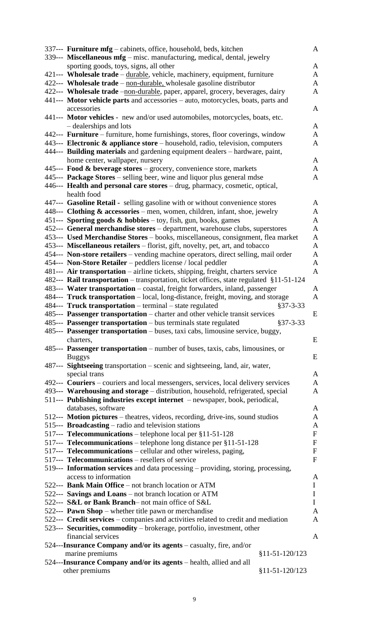| 337--- Furniture mfg – cabinets, office, household, beds, kitchen                                                                                                           |                  | $\mathbf{A}$                 |  |  |
|-----------------------------------------------------------------------------------------------------------------------------------------------------------------------------|------------------|------------------------------|--|--|
| 339--- Miscellaneous mfg - misc. manufacturing, medical, dental, jewelry                                                                                                    |                  |                              |  |  |
| sporting goods, toys, signs, all other                                                                                                                                      |                  | A                            |  |  |
| 421--- Wholesale trade – durable, vehicle, machinery, equipment, furniture                                                                                                  |                  | $\mathbf{A}$                 |  |  |
| 422--- Wholesale trade - non-durable, wholesale gasoline distributor                                                                                                        |                  | A                            |  |  |
| 422--- Wholesale trade -non-durable, paper, apparel, grocery, beverages, dairy<br>A                                                                                         |                  |                              |  |  |
| 441--- Motor vehicle parts and accessories – auto, motorcycles, boats, parts and                                                                                            |                  |                              |  |  |
| accessories                                                                                                                                                                 |                  | A                            |  |  |
| 441--- Motor vehicles - new and/or used automobiles, motorcycles, boats, etc.                                                                                               |                  |                              |  |  |
| - dealerships and lots<br>442--- Furniture – furniture, home furnishings, stores, floor coverings, window                                                                   |                  | $\mathbf{A}$<br>$\mathbf{A}$ |  |  |
| 443--- Electronic & appliance store – household, radio, television, computers                                                                                               |                  | A                            |  |  |
| 444--- Building materials and gardening equipment dealers – hardware, paint,                                                                                                |                  |                              |  |  |
| home center, wallpaper, nursery                                                                                                                                             |                  | $\mathbf{A}$                 |  |  |
| 445--- Food & beverage stores – grocery, convenience store, markets                                                                                                         |                  | A                            |  |  |
| 445--- Package Stores - selling beer, wine and liquor plus general mdse                                                                                                     |                  | A                            |  |  |
| 446--- Health and personal care stores - drug, pharmacy, cosmetic, optical,                                                                                                 |                  |                              |  |  |
| health food                                                                                                                                                                 |                  |                              |  |  |
| 447--- Gasoline Retail - selling gasoline with or without convenience stores                                                                                                |                  | $\mathbf{A}$                 |  |  |
| 448--- Clothing & accessories - men, women, children, infant, shoe, jewelry                                                                                                 |                  | $\mathbf{A}$                 |  |  |
| 451--- Sporting goods $\&$ hobbies – toy, fish, gun, books, games                                                                                                           |                  | $\mathbf{A}$                 |  |  |
| 452--- General merchandise stores - department, warehouse clubs, superstores                                                                                                |                  | $\mathbf{A}$                 |  |  |
| 453--- Used Merchandise Stores - books, miscellaneous, consignment, flea market                                                                                             |                  | $\mathbf{A}$                 |  |  |
| 453--- Miscellaneous retailers – florist, gift, novelty, pet, art, and tobacco                                                                                              |                  | $\mathbf{A}$                 |  |  |
| 454--- Non-store retailers – vending machine operators, direct selling, mail order                                                                                          |                  | A                            |  |  |
| 454--- Non-Store Retailer – peddlers license / local peddler                                                                                                                |                  | $\mathbf{A}$<br>$\mathbf{A}$ |  |  |
| 481--- Air transportation – airline tickets, shipping, freight, charters service<br>482--- Rail transportation – transportation, ticket offices, state regulated §11-51-124 |                  |                              |  |  |
| 483--- Water transportation – coastal, freight forwarders, inland, passenger                                                                                                |                  | $\mathbf{A}$                 |  |  |
| 484--- Truck transportation – local, long-distance, freight, moving, and storage                                                                                            |                  | $\mathbf{A}$                 |  |  |
| 484--- Truck transportation - terminal - state regulated                                                                                                                    | $§37 - 3 - 33$   |                              |  |  |
| 485--- Passenger transportation – charter and other vehicle transit services                                                                                                |                  | E                            |  |  |
| 485--- Passenger transportation - bus terminals state regulated                                                                                                             | $§37 - 3 - 33$   |                              |  |  |
| 485--- Passenger transportation - buses, taxi cabs, limousine service, buggy,                                                                                               |                  |                              |  |  |
| charters,                                                                                                                                                                   |                  | E                            |  |  |
| 485--- Passenger transportation – number of buses, taxis, cabs, limousines, or                                                                                              |                  |                              |  |  |
| <b>Buggys</b>                                                                                                                                                               |                  | E                            |  |  |
| 487--- Sightseeing transportation – scenic and sightseeing, land, air, water,                                                                                               |                  |                              |  |  |
| special trans                                                                                                                                                               |                  | $\mathbf{A}$                 |  |  |
| 492--- Couriers – couriers and local messengers, services, local delivery services                                                                                          |                  | $\mathbf{A}$                 |  |  |
| 493--- Warehousing and storage - distribution, household, refrigerated, special                                                                                             |                  | $\mathbf{A}$                 |  |  |
| 511--- Publishing industries except internet - newspaper, book, periodical,<br>databases, software                                                                          |                  | A                            |  |  |
| 512--- Motion pictures - theatres, videos, recording, drive-ins, sound studios                                                                                              |                  | $\mathbf{A}$                 |  |  |
| 515--- Broadcasting – radio and television stations                                                                                                                         |                  | $\mathbf{A}$                 |  |  |
| 517--- Telecommunications - telephone local per §11-51-128                                                                                                                  |                  | $\mathbf F$                  |  |  |
| 517--- Telecommunications - telephone long distance per §11-51-128                                                                                                          |                  | ${\bf F}$                    |  |  |
| 517--- Telecommunications – cellular and other wireless, paging,                                                                                                            |                  | ${\bf F}$                    |  |  |
| 517--- Telecommunications – resellers of service                                                                                                                            |                  | $\mathbf{F}$                 |  |  |
| 519--- Information services and data processing – providing, storing, processing,                                                                                           |                  |                              |  |  |
| access to information                                                                                                                                                       |                  | A                            |  |  |
| 522--- Bank Main Office - not branch location or ATM                                                                                                                        |                  | $\mathbf I$                  |  |  |
| 522--- Savings and Loans – not branch location or ATM                                                                                                                       |                  | $\mathbf I$                  |  |  |
| 522--- S&L or Bank Branch-not main office of S&L<br>522--- Pawn Shop – whether title pawn or merchandise                                                                    |                  | $\mathbf I$<br>$\mathbf{A}$  |  |  |
| 522--- Credit services – companies and activities related to credit and mediation                                                                                           |                  | A                            |  |  |
| 523--- Securities, commodity - brokerage, portfolio, investment, other                                                                                                      |                  |                              |  |  |
| financial services                                                                                                                                                          |                  | A                            |  |  |
| 524---Insurance Company and/or its agents – casualty, fire, and/or                                                                                                          |                  |                              |  |  |
| marine premiums                                                                                                                                                             | $§11-51-120/123$ |                              |  |  |
| 524---Insurance Company and/or its agents - health, allied and all                                                                                                          |                  |                              |  |  |
| other premiums                                                                                                                                                              | $§11-51-120/123$ |                              |  |  |
|                                                                                                                                                                             |                  |                              |  |  |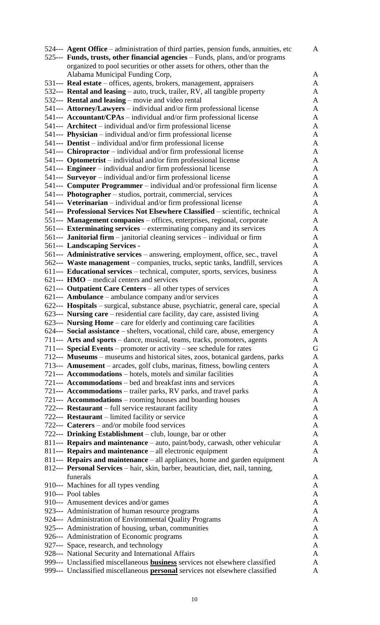| 524--- Agent Office – administration of third parties, pension funds, annuities, etc | $\mathbf{A}$ |
|--------------------------------------------------------------------------------------|--------------|
| 525--- Funds, trusts, other financial agencies – Funds, plans, and/or programs       |              |
| organized to pool securities or other assets for others, other than the              |              |
| Alabama Municipal Funding Corp,                                                      | A            |
| 531--- Real estate – offices, agents, brokers, management, appraisers                | $\mathbf{A}$ |
| 532--- Rental and leasing – auto, truck, trailer, RV, all tangible property          | $\mathbf{A}$ |
| 532--- Rental and leasing – movie and video rental                                   | A            |
| 541--- Attorney/Lawyers - individual and/or firm professional license                | $\mathbf{A}$ |
| 541--- Accountant/CPAs – individual and/or firm professional license                 | $\mathbf{A}$ |
| 541--- <b>Architect</b> – individual and/or firm professional license                | $\mathbf{A}$ |
| 541--- Physician – individual and/or firm professional license                       | $\mathbf{A}$ |
| 541--- <b>Dentist</b> – individual and/or firm professional license                  | $\mathbf{A}$ |
| 541--- Chiropractor – individual and/or firm professional license                    | $\mathbf{A}$ |
| 541--- <b>Optometrist</b> – individual and/or firm professional license              | $\mathbf{A}$ |
| 541--- Engineer - individual and/or firm professional license                        | $\mathbf{A}$ |
| 541--- Surveyor – individual and/or firm professional license                        | $\mathbf{A}$ |
| 541--- <b>Computer Programmer</b> – individual and/or professional firm license      | A            |
| 541--- Photographer – studios, portrait, commercial, services                        | $\mathbf{A}$ |
| 541--- Veterinarian – individual and/or firm professional license                    | A            |
| 541--- Professional Services Not Elsewhere Classified - scientific, technical        | $\mathbf{A}$ |
| 551--- Management companies – offices, enterprises, regional, corporate              | $\mathbf{A}$ |
| 561--- Exterminating services – exterminating company and its services               | A            |
| 561--- <b>Janitorial firm</b> – janitorial cleaning services – individual or firm    | $\mathbf{A}$ |
| 561--- Landscaping Services -                                                        | $\mathbf{A}$ |
| 561--- Administrative services - answering, employment, office, sec., travel         | $\mathbf{A}$ |
| 562--- Waste management – companies, trucks, septic tanks, landfill, services        | $\mathbf{A}$ |
| 611--- Educational services – technical, computer, sports, services, business        | A            |
| $621--$ HMO – medical centers and services                                           | $\mathbf{A}$ |
| 621--- Outpatient Care Centers – all other types of services                         | A            |
| 621--- <b>Ambulance</b> – ambulance company and/or services                          | $\mathbf{A}$ |
| 622--- Hospitals – surgical, substance abuse, psychiatric, general care, special     | $\mathbf{A}$ |
| 623--- Nursing care – residential care facility, day care, assisted living           | $\mathbf{A}$ |
| 623--- Nursing Home – care for elderly and continuing care facilities                | $\mathbf{A}$ |
| 624--- Social assistance – shelters, vocational, child care, abuse, emergency        | A            |
| 711--- Arts and sports – dance, musical, teams, tracks, promoters, agents            | A            |
| 711--- Special Events – promoter or activity – see schedule for rates                | G            |
| 712--- Museums – museums and historical sites, zoos, botanical gardens, parks        | A            |
| 713--- Amusement – arcades, golf clubs, marinas, fitness, bowling centers            | A            |
| 721--- Accommodations – hotels, motels and similar facilities                        | A            |
| 721--- Accommodations – bed and breakfast inns and services                          | $\mathbf{A}$ |
| 721--- Accommodations - trailer parks, RV parks, and travel parks                    | A            |
| 721--- Accommodations – rooming houses and boarding houses                           | A            |
| 722--- Restaurant – full service restaurant facility                                 | $\mathbf{A}$ |
| 722--- <b>Restaurant</b> – limited facility or service                               | A            |
| 722--- <b>Caterers</b> – and/or mobile food services                                 | $\mathbf{A}$ |
| 722--- Drinking Establishment – club, lounge, bar or other                           | $\mathbf{A}$ |
| 811--- Repairs and maintenance - auto, paint/body, carwash, other vehicular          | A            |
| 811--- Repairs and maintenance – all electronic equipment                            | $\mathbf{A}$ |
| 811--- Repairs and maintenance – all appliances, home and garden equipment           | A            |
| 812--- Personal Services - hair, skin, barber, beautician, diet, nail, tanning,      |              |
| funerals                                                                             | A            |
| 910--- Machines for all types vending                                                | A            |
| 910--- Pool tables                                                                   | $\mathbf{A}$ |
| 910--- Amusement devices and/or games                                                | A            |
| 923--- Administration of human resource programs                                     | A            |
| 924--- Administration of Environmental Quality Programs                              | A            |
| 925--- Administration of housing, urban, communities                                 | A            |
| 926--- Administration of Economic programs                                           | $\mathbf{A}$ |
| 927--- Space, research, and technology                                               | A            |
| 928--- National Security and International Affairs                                   | $\mathbf{A}$ |
| 999--- Unclassified miscellaneous <b>business</b> services not elsewhere classified  | A            |
| 999--- Unclassified miscellaneous personal services not elsewhere classified         | A            |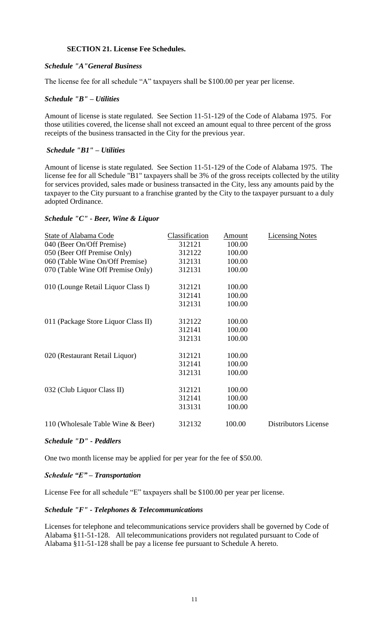# **SECTION 21. License Fee Schedules.**

# *Schedule "A"General Business*

The license fee for all schedule "A" taxpayers shall be \$100.00 per year per license.

# *Schedule "B" – Utilities*

Amount of license is state regulated. See Section 11-51-129 of the Code of Alabama 1975. For those utilities covered, the license shall not exceed an amount equal to three percent of the gross receipts of the business transacted in the City for the previous year.

# *Schedule "B1" – Utilities*

Amount of license is state regulated. See Section 11-51-129 of the Code of Alabama 1975. The license fee for all Schedule "B1" taxpayers shall be 3% of the gross receipts collected by the utility for services provided, sales made or business transacted in the City, less any amounts paid by the taxpayer to the City pursuant to a franchise granted by the City to the taxpayer pursuant to a duly adopted Ordinance.

# *Schedule "C" - Beer, Wine & Liquor*

| State of Alabama Code               | Classification | Amount | <b>Licensing Notes</b>      |
|-------------------------------------|----------------|--------|-----------------------------|
| 040 (Beer On/Off Premise)           | 312121         | 100.00 |                             |
| 050 (Beer Off Premise Only)         | 312122         | 100.00 |                             |
| 060 (Table Wine On/Off Premise)     | 312131         | 100.00 |                             |
| 070 (Table Wine Off Premise Only)   | 312131         | 100.00 |                             |
| 010 (Lounge Retail Liquor Class I)  | 312121         | 100.00 |                             |
|                                     | 312141         | 100.00 |                             |
|                                     | 312131         | 100.00 |                             |
| 011 (Package Store Liquor Class II) | 312122         | 100.00 |                             |
|                                     | 312141         | 100.00 |                             |
|                                     | 312131         | 100.00 |                             |
| 020 (Restaurant Retail Liquor)      | 312121         | 100.00 |                             |
|                                     | 312141         | 100.00 |                             |
|                                     | 312131         | 100.00 |                             |
| 032 (Club Liquor Class II)          | 312121         | 100.00 |                             |
|                                     | 312141         | 100.00 |                             |
|                                     | 313131         | 100.00 |                             |
| 110 (Wholesale Table Wine & Beer)   | 312132         | 100.00 | <b>Distributors License</b> |
|                                     |                |        |                             |

## *Schedule "D" - Peddlers*

One two month license may be applied for per year for the fee of \$50.00.

## *Schedule "E" – Transportation*

License Fee for all schedule "E" taxpayers shall be \$100.00 per year per license.

## *Schedule "F" - Telephones & Telecommunications*

Licenses for telephone and telecommunications service providers shall be governed by Code of Alabama §11-51-128. All telecommunications providers not regulated pursuant to Code of Alabama §11-51-128 shall be pay a license fee pursuant to Schedule A hereto.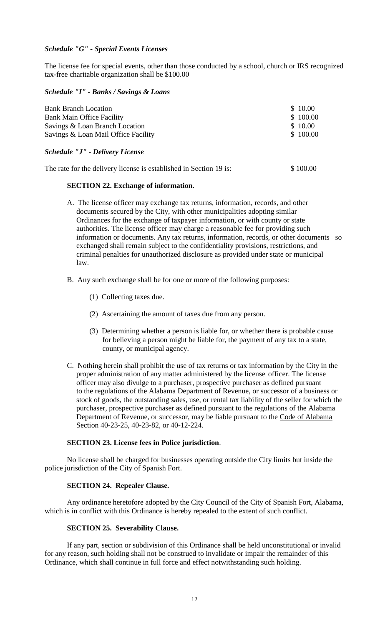#### *Schedule "G" - Special Events Licenses*

The license fee for special events, other than those conducted by a school, church or IRS recognized tax-free charitable organization shall be \$100.00

#### *Schedule "I" - Banks / Savings & Loans*

| <b>Bank Branch Location</b>         | \$10.00  |
|-------------------------------------|----------|
| <b>Bank Main Office Facility</b>    | \$100.00 |
| Savings & Loan Branch Location      | \$10.00  |
| Savings & Loan Mail Office Facility | \$100.00 |

## *Schedule "J" - Delivery License*

|  |  | The rate for the delivery license is established in Section 19 is: |  | \$100.00 |
|--|--|--------------------------------------------------------------------|--|----------|
|  |  |                                                                    |  |          |

## **SECTION 22. Exchange of information**.

- A. The license officer may exchange tax returns, information, records, and other documents secured by the City, with other municipalities adopting similar Ordinances for the exchange of taxpayer information, or with county or state authorities. The license officer may charge a reasonable fee for providing such information or documents. Any tax returns, information, records, or other documents so exchanged shall remain subject to the confidentiality provisions, restrictions, and criminal penalties for unauthorized disclosure as provided under state or municipal law.
- B. Any such exchange shall be for one or more of the following purposes:
	- (1) Collecting taxes due.
	- (2) Ascertaining the amount of taxes due from any person.
	- (3) Determining whether a person is liable for, or whether there is probable cause for believing a person might be liable for, the payment of any tax to a state, county, or municipal agency.
- C. Nothing herein shall prohibit the use of tax returns or tax information by the City in the proper administration of any matter administered by the license officer. The license officer may also divulge to a purchaser, prospective purchaser as defined pursuant to the regulations of the Alabama Department of Revenue, or successor of a business or stock of goods, the outstanding sales, use, or rental tax liability of the seller for which the purchaser, prospective purchaser as defined pursuant to the regulations of the Alabama Department of Revenue, or successor, may be liable pursuant to the Code of Alabama Section 40-23-25, 40-23-82, or 40-12-224.

#### **SECTION 23. License fees in Police jurisdiction**.

No license shall be charged for businesses operating outside the City limits but inside the police jurisdiction of the City of Spanish Fort.

#### **SECTION 24. Repealer Clause.**

Any ordinance heretofore adopted by the City Council of the City of Spanish Fort, Alabama, which is in conflict with this Ordinance is hereby repealed to the extent of such conflict.

## **SECTION 25. Severability Clause.**

If any part, section or subdivision of this Ordinance shall be held unconstitutional or invalid for any reason, such holding shall not be construed to invalidate or impair the remainder of this Ordinance, which shall continue in full force and effect notwithstanding such holding.